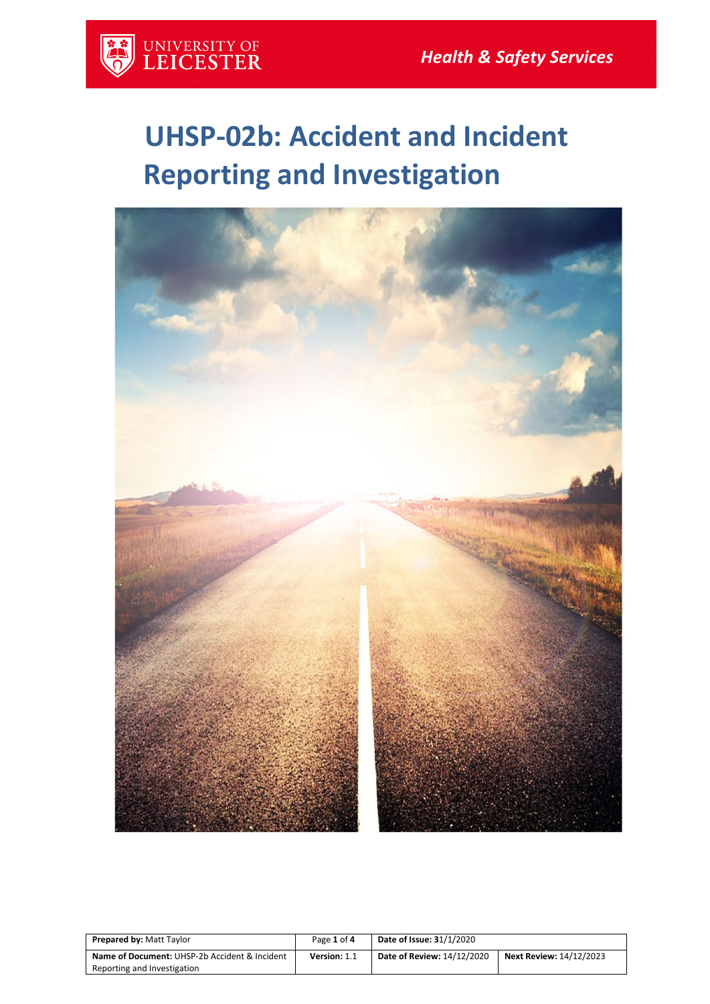

# **UHSP-02b: Accident and Incident Reporting and Investigation**



| <b>Prepared by: Matt Taylor</b>                          | Page 1 of 4  | <b>Date of Issue: 31/1/2020</b> |                                |
|----------------------------------------------------------|--------------|---------------------------------|--------------------------------|
| <b>Name of Document: UHSP-2b Accident &amp; Incident</b> | Version: 1.1 | Date of Review: 14/12/2020      | <b>Next Review: 14/12/2023</b> |
| Reporting and Investigation                              |              |                                 |                                |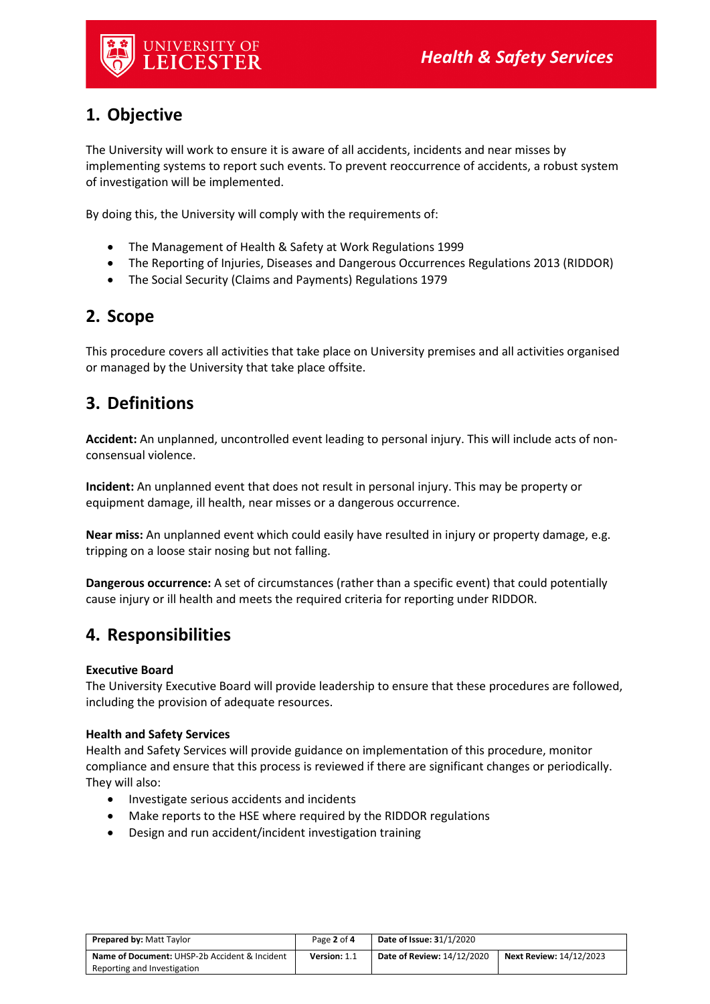

# **1. Objective**

The University will work to ensure it is aware of all accidents, incidents and near misses by implementing systems to report such events. To prevent reoccurrence of accidents, a robust system of investigation will be implemented.

By doing this, the University will comply with the requirements of:

- The Management of Health & Safety at Work Regulations 1999
- The Reporting of Injuries, Diseases and Dangerous Occurrences Regulations 2013 (RIDDOR)
- The Social Security (Claims and Payments) Regulations 1979

## **2. Scope**

This procedure covers all activities that take place on University premises and all activities organised or managed by the University that take place offsite.

# **3. Definitions**

**Accident:** An unplanned, uncontrolled event leading to personal injury. This will include acts of nonconsensual violence.

**Incident:** An unplanned event that does not result in personal injury. This may be property or equipment damage, ill health, near misses or a dangerous occurrence.

**Near miss:** An unplanned event which could easily have resulted in injury or property damage, e.g. tripping on a loose stair nosing but not falling.

**Dangerous occurrence:** A set of circumstances (rather than a specific event) that could potentially cause injury or ill health and meets the required criteria for reporting under RIDDOR.

## **4. Responsibilities**

### **Executive Board**

The University Executive Board will provide leadership to ensure that these procedures are followed, including the provision of adequate resources.

### **Health and Safety Services**

Health and Safety Services will provide guidance on implementation of this procedure, monitor compliance and ensure that this process is reviewed if there are significant changes or periodically. They will also:

- Investigate serious accidents and incidents
- Make reports to the HSE where required by the RIDDOR regulations
- Design and run accident/incident investigation training

| <b>Prepared by: Matt Taylor</b>               | Page 2 of 4  | <b>Date of Issue: 31/1/2020</b> |                                |
|-----------------------------------------------|--------------|---------------------------------|--------------------------------|
| Name of Document: UHSP-2b Accident & Incident | Version: 1.1 | Date of Review: 14/12/2020      | <b>Next Review: 14/12/2023</b> |
| Reporting and Investigation                   |              |                                 |                                |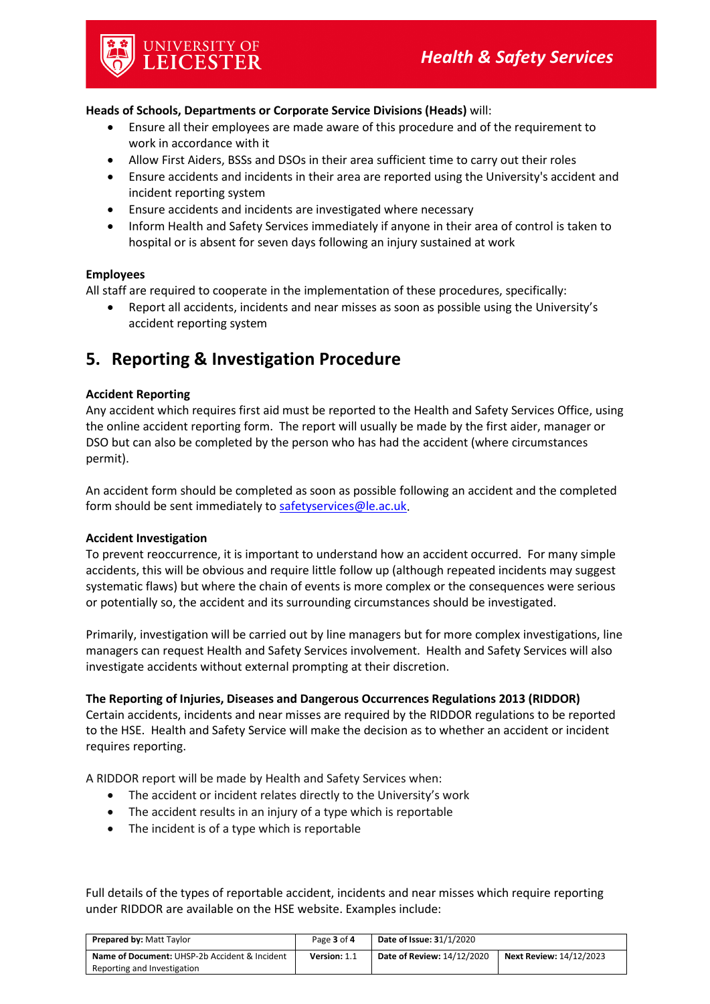#### **Heads of Schools, Departments or Corporate Service Divisions (Heads)** will:

- Ensure all their employees are made aware of this procedure and of the requirement to work in accordance with it
- Allow First Aiders, BSSs and DSOs in their area sufficient time to carry out their roles
- Ensure accidents and incidents in their area are reported using the University's accident and incident reporting system
- Ensure accidents and incidents are investigated where necessary
- Inform Health and Safety Services immediately if anyone in their area of control is taken to hospital or is absent for seven days following an injury sustained at work

#### **Employees**

All staff are required to cooperate in the implementation of these procedures, specifically:

• Report all accidents, incidents and near misses as soon as possible using the University's accident reporting system

# **5. Reporting & Investigation Procedure**

#### **Accident Reporting**

Any accident which requires first aid must be reported to the Health and Safety Services Office, using the online accident reporting form. The report will usually be made by the first aider, manager or DSO but can also be completed by the person who has had the accident (where circumstances permit).

An accident form should be completed as soon as possible following an accident and the completed form should be sent immediately to [safetyservices@le.ac.uk.](mailto:safetyservices@le.ac.uk)

#### **Accident Investigation**

To prevent reoccurrence, it is important to understand how an accident occurred. For many simple accidents, this will be obvious and require little follow up (although repeated incidents may suggest systematic flaws) but where the chain of events is more complex or the consequences were serious or potentially so, the accident and its surrounding circumstances should be investigated.

Primarily, investigation will be carried out by line managers but for more complex investigations, line managers can request Health and Safety Services involvement. Health and Safety Services will also investigate accidents without external prompting at their discretion.

#### **The Reporting of Injuries, Diseases and Dangerous Occurrences Regulations 2013 (RIDDOR)**

Certain accidents, incidents and near misses are required by the RIDDOR regulations to be reported to the HSE. Health and Safety Service will make the decision as to whether an accident or incident requires reporting.

A RIDDOR report will be made by Health and Safety Services when:

- The accident or incident relates directly to the University's work
- The accident results in an injury of a type which is reportable
- The incident is of a type which is reportable

Full details of the types of reportable accident, incidents and near misses which require reporting under RIDDOR are available on the HSE website. Examples include:

| <b>Prepared by: Matt Taylor</b>               | Page 3 of 4  | <b>Date of Issue: 31/1/2020</b> |                                |
|-----------------------------------------------|--------------|---------------------------------|--------------------------------|
| Name of Document: UHSP-2b Accident & Incident | Version: 1.1 | Date of Review: 14/12/2020      | <b>Next Review: 14/12/2023</b> |
| Reporting and Investigation                   |              |                                 |                                |